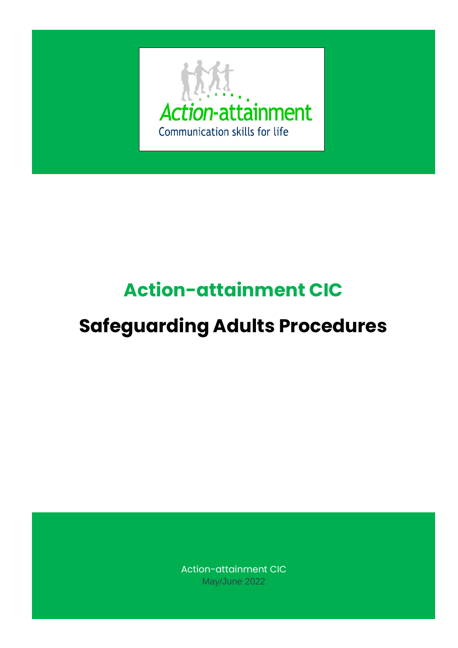

# **Action-attainment CIC**

# **Safeguarding Adults Procedures**

Action-attainment CIC May/June 2022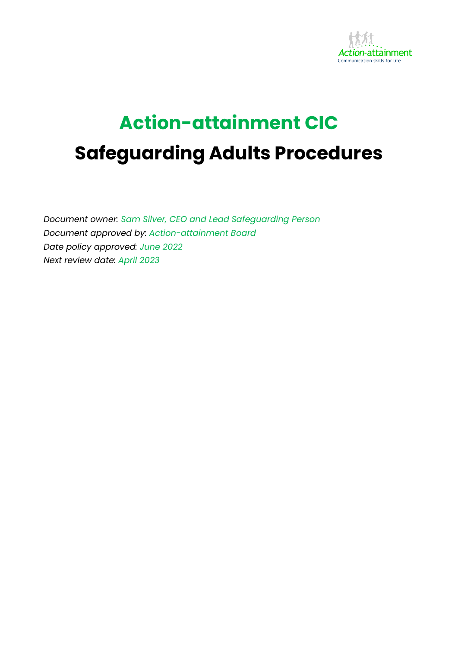

# **Action-attainment CIC Safeguarding Adults Procedures**

*Document owner: Sam Silver, CEO and Lead Safeguarding Person Document approved by: Action-attainment Board Date policy approved: June 2022 Next review date: April 2023*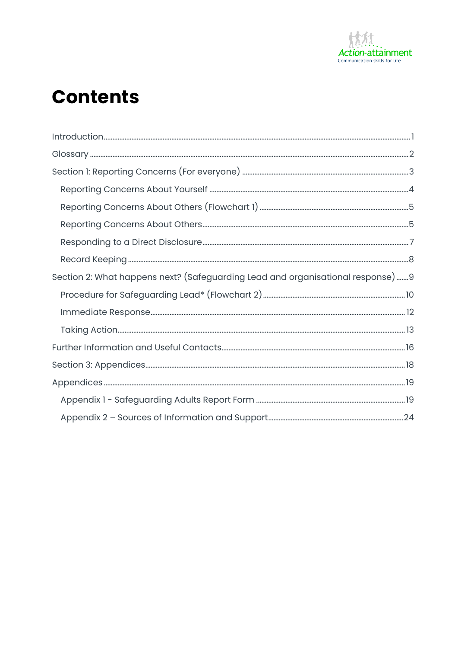

## **Contents**

| $\small \label{eq:1} \begin{minipage}[t]{0.9\textwidth} \centering \begin{tabular}{ c c c c c } \hline \textbf{Introduction} & \textbf{3.0001} & \textbf{4.0001} & \textbf{5.0001} & \textbf{6.0001} & \textbf{6.0001} & \textbf{7.0001} & \textbf{8.0001} & \textbf{9.0001} & \textbf{9.0001} & \textbf{9.0001} & \textbf{9.0001} & \textbf{9.0001} & \textbf{9.0001} & \textbf{9.00$ |  |
|----------------------------------------------------------------------------------------------------------------------------------------------------------------------------------------------------------------------------------------------------------------------------------------------------------------------------------------------------------------------------------------|--|
|                                                                                                                                                                                                                                                                                                                                                                                        |  |
|                                                                                                                                                                                                                                                                                                                                                                                        |  |
|                                                                                                                                                                                                                                                                                                                                                                                        |  |
|                                                                                                                                                                                                                                                                                                                                                                                        |  |
|                                                                                                                                                                                                                                                                                                                                                                                        |  |
|                                                                                                                                                                                                                                                                                                                                                                                        |  |
|                                                                                                                                                                                                                                                                                                                                                                                        |  |
| Section 2: What happens next? (Safeguarding Lead and organisational response)9                                                                                                                                                                                                                                                                                                         |  |
|                                                                                                                                                                                                                                                                                                                                                                                        |  |
|                                                                                                                                                                                                                                                                                                                                                                                        |  |
|                                                                                                                                                                                                                                                                                                                                                                                        |  |
|                                                                                                                                                                                                                                                                                                                                                                                        |  |
|                                                                                                                                                                                                                                                                                                                                                                                        |  |
|                                                                                                                                                                                                                                                                                                                                                                                        |  |
|                                                                                                                                                                                                                                                                                                                                                                                        |  |
|                                                                                                                                                                                                                                                                                                                                                                                        |  |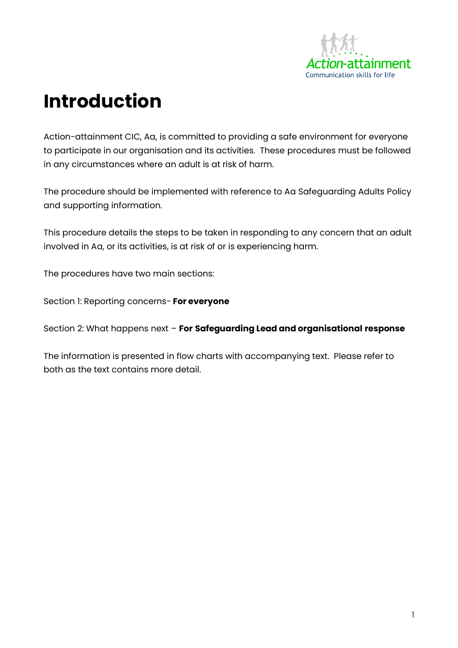

# <span id="page-3-0"></span>**Introduction**

Action-attainment CIC, Aa, is committed to providing a safe environment for everyone to participate in our organisation and its activities. These procedures must be followed in any circumstances where an adult is at risk of harm.

The procedure should be implemented with reference to Aa Safeguarding Adults Policy and supporting information.

This procedure details the steps to be taken in responding to any concern that an adult involved in Aa, or its activities, is at risk of or is experiencing harm.

The procedures have two main sections:

Section 1: Reporting concerns- **For everyone**

Section 2: What happens next – **For Safeguarding Lead and organisational response**

The information is presented in flow charts with accompanying text. Please refer to both as the text contains more detail.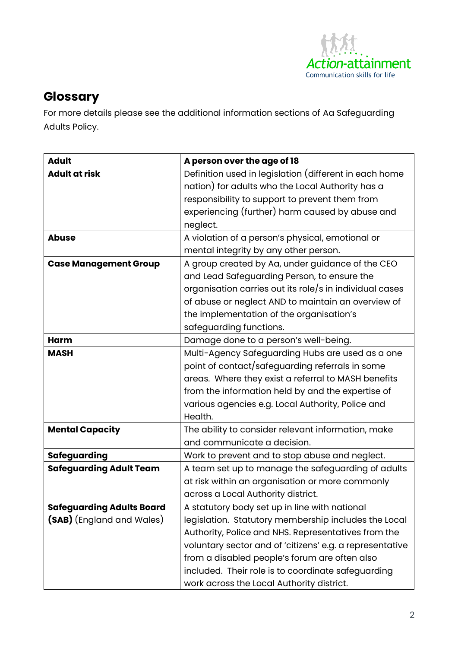

## <span id="page-4-0"></span>**Glossary**

For more details please see the additional information sections of Aa Safeguarding Adults Policy.

| <b>Adult</b>                     | A person over the age of 18                              |  |  |
|----------------------------------|----------------------------------------------------------|--|--|
| <b>Adult at risk</b>             | Definition used in legislation (different in each home   |  |  |
|                                  | nation) for adults who the Local Authority has a         |  |  |
|                                  | responsibility to support to prevent them from           |  |  |
|                                  | experiencing (further) harm caused by abuse and          |  |  |
|                                  | neglect.                                                 |  |  |
| <b>Abuse</b>                     | A violation of a person's physical, emotional or         |  |  |
|                                  | mental integrity by any other person.                    |  |  |
| <b>Case Management Group</b>     | A group created by Aa, under guidance of the CEO         |  |  |
|                                  | and Lead Safeguarding Person, to ensure the              |  |  |
|                                  | organisation carries out its role/s in individual cases  |  |  |
|                                  | of abuse or neglect AND to maintain an overview of       |  |  |
|                                  | the implementation of the organisation's                 |  |  |
|                                  | safeguarding functions.                                  |  |  |
| Harm                             | Damage done to a person's well-being.                    |  |  |
| <b>MASH</b>                      | Multi-Agency Safeguarding Hubs are used as a one         |  |  |
|                                  | point of contact/safeguarding referrals in some          |  |  |
|                                  | areas. Where they exist a referral to MASH benefits      |  |  |
|                                  | from the information held by and the expertise of        |  |  |
|                                  | various agencies e.g. Local Authority, Police and        |  |  |
|                                  | Health.                                                  |  |  |
| <b>Mental Capacity</b>           | The ability to consider relevant information, make       |  |  |
|                                  | and communicate a decision.                              |  |  |
| <b>Safeguarding</b>              | Work to prevent and to stop abuse and neglect.           |  |  |
| <b>Safeguarding Adult Team</b>   | A team set up to manage the safeguarding of adults       |  |  |
|                                  | at risk within an organisation or more commonly          |  |  |
|                                  | across a Local Authority district.                       |  |  |
| <b>Safeguarding Adults Board</b> | A statutory body set up in line with national            |  |  |
| (SAB) (England and Wales)        | legislation. Statutory membership includes the Local     |  |  |
|                                  | Authority, Police and NHS. Representatives from the      |  |  |
|                                  | voluntary sector and of 'citizens' e.g. a representative |  |  |
|                                  | from a disabled people's forum are often also            |  |  |
|                                  | included. Their role is to coordinate safeguarding       |  |  |
|                                  | work across the Local Authority district.                |  |  |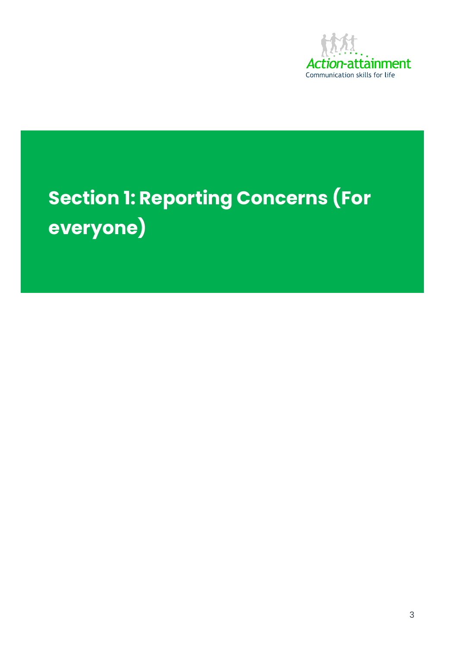

# **Section 1: Reporting Concerns (For everyone)**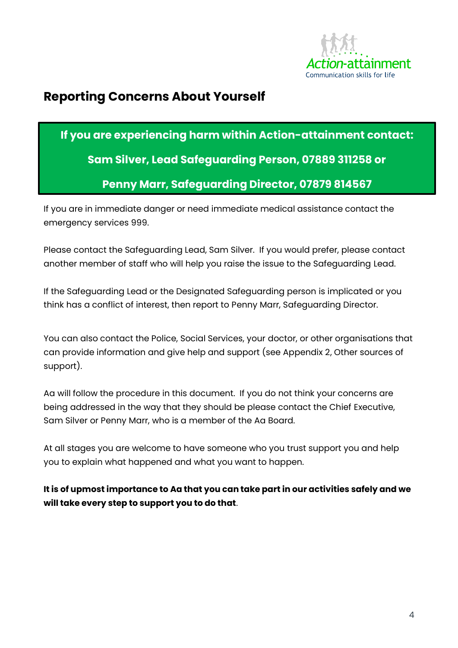

### <span id="page-6-0"></span>**Reporting Concerns About Yourself**

## **If you are experiencing harm within Action-attainment contact: Sam Silver, Lead Safeguarding Person, 07889 311258 or Penny Marr, Safeguarding Director, 07879 814567**

If you are in immediate danger or need immediate medical assistance contact the emergency services 999.

Please contact the Safeguarding Lead, Sam Silver. If you would prefer, please contact another member of staff who will help you raise the issue to the Safeguarding Lead.

If the Safeguarding Lead or the Designated Safeguarding person is implicated or you think has a conflict of interest, then report to Penny Marr, Safeguarding Director.

You can also contact the Police, Social Services, your doctor, or other organisations that can provide information and give help and support (see Appendix 2, Other sources of support).

Aa will follow the procedure in this document. If you do not think your concerns are being addressed in the way that they should be please contact the Chief Executive, Sam Silver or Penny Marr, who is a member of the Aa Board.

At all stages you are welcome to have someone who you trust support you and help you to explain what happened and what you want to happen.

**It is of upmost importance to Aa that you can take part in our activities safely and we will take every step to support you to do that**.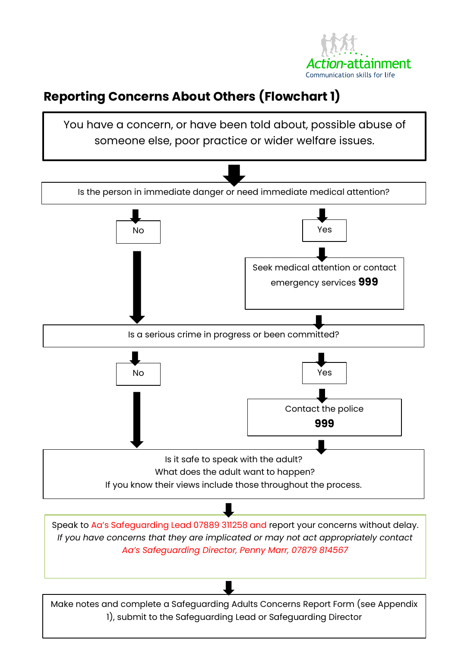

## <span id="page-7-0"></span>**Reporting Concerns About Others (Flowchart 1)**

<span id="page-7-1"></span>

Make notes and complete a Safeguarding Adults Concerns Report Form (see Appendix 1), submit to the Safeguarding Lead or Safeguarding Director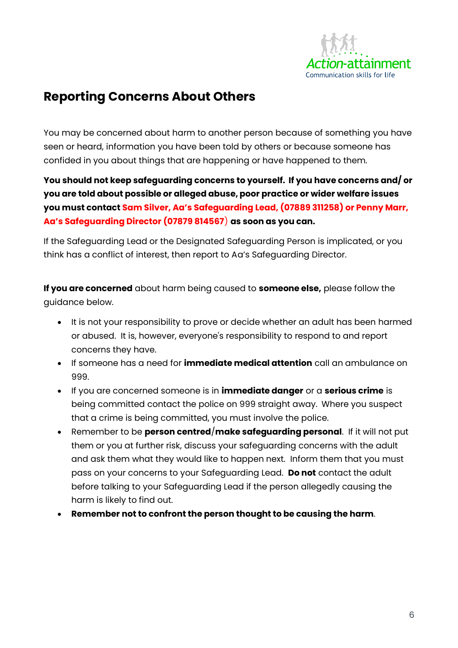

## **Reporting Concerns About Others**

You may be concerned about harm to another person because of something you have seen or heard, information you have been told by others or because someone has confided in you about things that are happening or have happened to them.

**You should not keep safeguarding concerns to yourself. If you have concerns and/ or you are told about possible or alleged abuse, poor practice or wider welfare issues you must contact Sam Silver, Aa's Safeguarding Lead, (07889 311258) or Penny Marr, Aa's Safeguarding Director (07879 814567**) **as soon as you can.** 

If the Safeguarding Lead or the Designated Safeguarding Person is implicated, or you think has a conflict of interest, then report to Aa's Safeguarding Director.

**If you are concerned** about harm being caused to **someone else,** please follow the guidance below.

- It is not your responsibility to prove or decide whether an adult has been harmed or abused. It is, however, everyone's responsibility to respond to and report concerns they have.
- If someone has a need for **immediate medical attention** call an ambulance on 999.
- If you are concerned someone is in **immediate danger** or a **serious crime** is being committed contact the police on 999 straight away. Where you suspect that a crime is being committed, you must involve the police.
- Remember to be **person centred**/**make safeguarding personal**. If it will not put them or you at further risk, discuss your safeguarding concerns with the adult and ask them what they would like to happen next. Inform them that you must pass on your concerns to your Safeguarding Lead. **Do not** contact the adult before talking to your Safeguarding Lead if the person allegedly causing the harm is likely to find out.
- **Remember not to confront the person thought to be causing the harm**.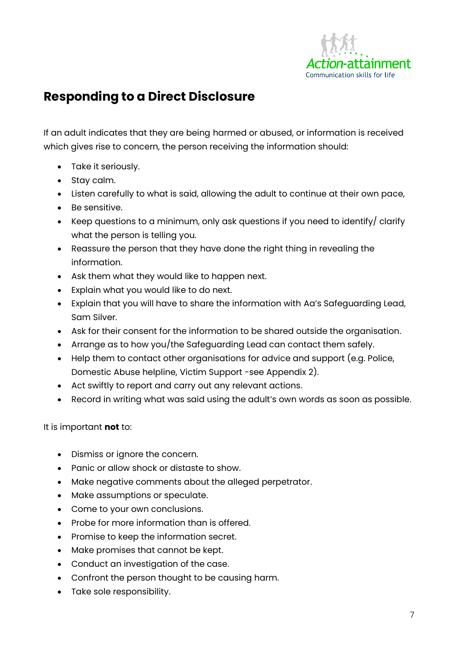

## <span id="page-9-0"></span>**Responding to a Direct Disclosure**

If an adult indicates that they are being harmed or abused, or information is received which gives rise to concern, the person receiving the information should:

- Take it seriously.
- Stay calm.
- Listen carefully to what is said, allowing the adult to continue at their own pace,
- Be sensitive.
- Keep questions to a minimum, only ask questions if you need to identify/ clarify what the person is telling you.
- Reassure the person that they have done the right thing in revealing the information.
- Ask them what they would like to happen next.
- Explain what you would like to do next.
- Explain that you will have to share the information with Aa's Safeguarding Lead, Sam Silver.
- Ask for their consent for the information to be shared outside the organisation.
- Arrange as to how you/the Safeguarding Lead can contact them safely.
- Help them to contact other organisations for advice and support (e.g. Police, Domestic Abuse helpline, Victim Support -see Appendix 2).
- Act swiftly to report and carry out any relevant actions.
- Record in writing what was said using the adult's own words as soon as possible.

#### It is important **not** to:

- Dismiss or ignore the concern.
- Panic or allow shock or distaste to show.
- Make negative comments about the alleged perpetrator.
- Make assumptions or speculate.
- Come to your own conclusions.
- Probe for more information than is offered.
- Promise to keep the information secret.
- Make promises that cannot be kept.
- Conduct an investigation of the case.
- Confront the person thought to be causing harm.
- Take sole responsibility.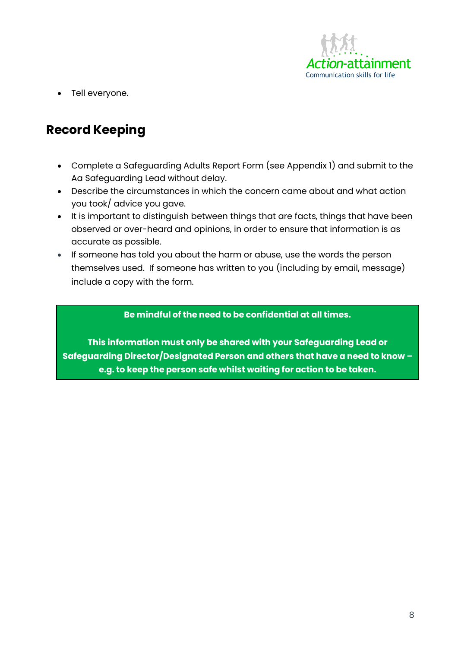

• Tell everyone.

## <span id="page-10-0"></span>**Record Keeping**

- Complete a Safeguarding Adults Report Form (see Appendix 1) and submit to the Aa Safeguarding Lead without delay.
- Describe the circumstances in which the concern came about and what action you took/ advice you gave.
- It is important to distinguish between things that are facts, things that have been observed or over-heard and opinions, in order to ensure that information is as accurate as possible.
- If someone has told you about the harm or abuse, use the words the person themselves used. If someone has written to you (including by email, message) include a copy with the form.

**Be mindful of the need to be confidential at all times.** 

**This information must only be shared with your Safeguarding Lead or Safeguarding Director/Designated Person and others that have a need to know – e.g. to keep the person safe whilst waiting for action to be taken.**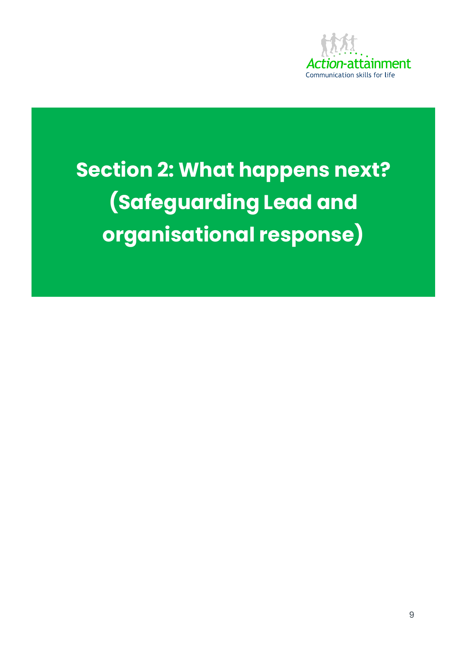

**Section 2: What happens next? (Safeguarding Lead and organisational response)**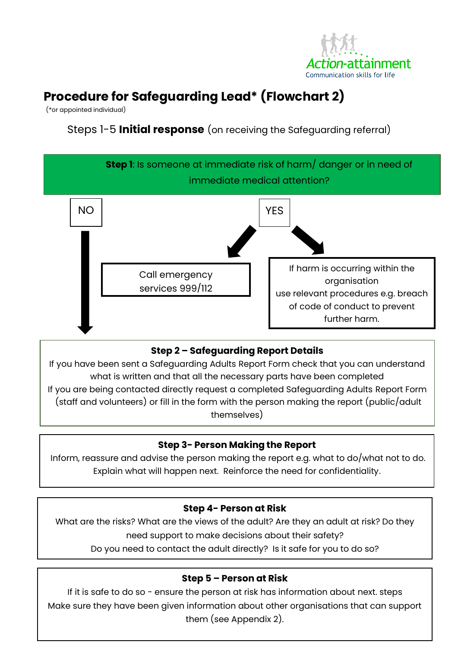

## <span id="page-12-0"></span>**Procedure for Safeguarding Lead\* (Flowchart 2)**

(\*or appointed individual)

1

Steps 1-5 **Initial response** (on receiving the Safeguarding referral)



#### **Step 2 – Safeguarding Report Details**

If you have been sent a Safeguarding Adults Report Form check that you can understand what is written and that all the necessary parts have been completed If you are being contacted directly request a completed Safeguarding Adults Report Form (staff and volunteers) or fill in the form with the person making the report (public/adult themselves)

#### **Step 3- Person Making the Report**

Inform, reassure and advise the person making the report e.g. what to do/what not to do. Explain what will happen next. Reinforce the need for confidentiality.

**3**

#### **Step 4- Person at Risk**

What are the risks? What are the views of the adult? Are they an adult at risk? Do they need support to make decisions about their safety?

Do you need to contact the adult directly? Is it safe for you to do so?

#### **Step 5 – Person at Risk**

If it is safe to do so - ensure the person at risk has information about next. steps Make sure they have been given information about other organisations that can support them (see Appendix 2).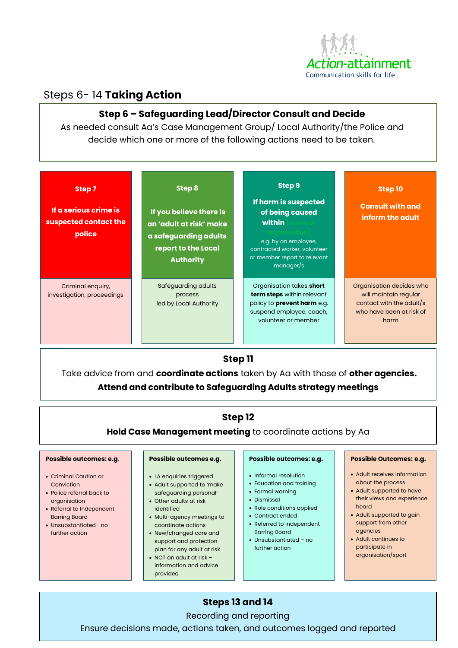

#### Steps 6- 14 **Taking Action**

#### **Step 6 – Safeguarding Lead/Director Consult and Decide**

As needed consult Aa's Case Management Group/ Local Authority/the Police and decide which one or more of the following actions need to be taken.

| Step 7<br>If a serious crime is<br>suspected contact the<br>police | Step 8<br>If you believe there is<br>an 'adult at risk' make<br>a safeguarding adults<br>report to the Local<br><b>Authority</b> | Step 9<br>If harm is suspected<br>of being caused<br>within<br>e.g. by an employee,<br>contracted worker, volunteer<br>or member report to relevant<br>manager/s | Step 10<br><b>Consult with and</b><br>inform the adult                                                            |
|--------------------------------------------------------------------|----------------------------------------------------------------------------------------------------------------------------------|------------------------------------------------------------------------------------------------------------------------------------------------------------------|-------------------------------------------------------------------------------------------------------------------|
| Criminal enquiry,<br>investigation, proceedings                    | Safeguarding adults<br>process<br>led by Local Authority                                                                         | Organisation takes short<br>term steps within relevant<br>policy to <b>prevent harm</b> e.g.<br>suspend employee, coach,<br>volunteer or member                  | Organisation decides who<br>will maintain regular<br>contact with the adult/s<br>who have been at risk of<br>harm |

#### **Step 11**

Take advice from and **coordinate actions** taken by Aa with those of **other agencies. Attend and contribute to Safeguarding Adults strategy meetings**

#### **Step 12**

**Hold Case Management meeting** to coordinate actions by Aa

#### **Possible outcomes: e.g**.

- Criminal Caution or Conviction
- Police referral back to organisation
- Referral to Independent Barring Board
- Unsubstantiated– no further action

#### **Possible outcomes e.g.**

- LA enquiries triggered • Adult supported to 'make
- safeguarding personal'
- Other adults at risk identified
- Multi-agency meetings to coordinate actions
- New/changed care and support and protection plan for any adult at risk
- NOT an adult at risk information and advice
- provided

#### • Informal resolution

**Possible outcomes: e.g.**

- 
- Education and training
- Formal warning
- Dismissal
- Role conditions applied • Contract ended
- Referred to Independent Barring Board
- Unsubstantiated no further action

#### **Possible Outcomes: e.g.**

- Adult receives information about the process
- Adult supported to have their views and experience heard
- Adult supported to gain support from other agencies
- Adult continues to participate in organisation/sport

#### **Steps 13 and 14**

Recording and reporting

Ensure decisions made, actions taken, and outcomes logged and reported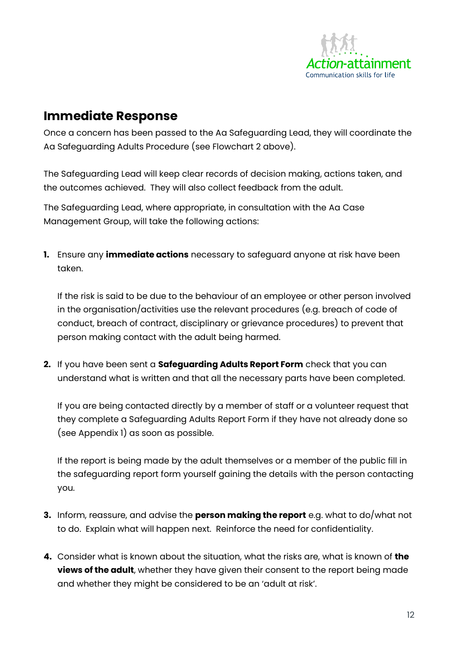

## <span id="page-14-0"></span>**Immediate Response**

Once a concern has been passed to the Aa Safeguarding Lead, they will coordinate the Aa Safeguarding Adults Procedure (see Flowchart 2 above).

The Safeguarding Lead will keep clear records of decision making, actions taken, and the outcomes achieved. They will also collect feedback from the adult.

The Safeguarding Lead, where appropriate, in consultation with the Aa Case Management Group, will take the following actions:

**1.** Ensure any **immediate actions** necessary to safeguard anyone at risk have been taken.

If the risk is said to be due to the behaviour of an employee or other person involved in the organisation/activities use the relevant procedures (e.g. breach of code of conduct, breach of contract, disciplinary or grievance procedures) to prevent that person making contact with the adult being harmed.

**2.** If you have been sent a **Safeguarding Adults Report Form** check that you can understand what is written and that all the necessary parts have been completed.

If you are being contacted directly by a member of staff or a volunteer request that they complete a Safeguarding Adults Report Form if they have not already done so (see Appendix 1) as soon as possible.

If the report is being made by the adult themselves or a member of the public fill in the safeguarding report form yourself gaining the details with the person contacting you.

- **3.** Inform, reassure, and advise the **person making the report** e.g. what to do/what not to do. Explain what will happen next. Reinforce the need for confidentiality.
- **4.** Consider what is known about the situation, what the risks are, what is known of **the views of the adult**, whether they have given their consent to the report being made and whether they might be considered to be an 'adult at risk'.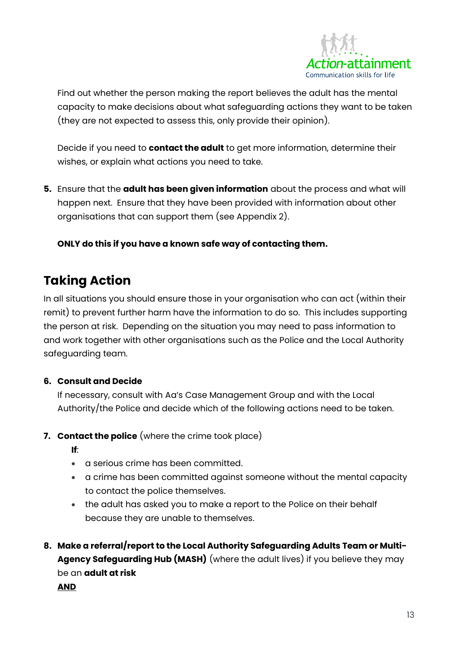

Find out whether the person making the report believes the adult has the mental capacity to make decisions about what safeguarding actions they want to be taken (they are not expected to assess this, only provide their opinion).

Decide if you need to **contact the adult** to get more information, determine their wishes, or explain what actions you need to take.

**5.** Ensure that the **adult has been given information** about the process and what will happen next. Ensure that they have been provided with information about other organisations that can support them (see Appendix 2).

**ONLY do this if you have a known safe way of contacting them.**

## <span id="page-15-0"></span>**Taking Action**

In all situations you should ensure those in your organisation who can act (within their remit) to prevent further harm have the information to do so. This includes supporting the person at risk. Depending on the situation you may need to pass information to and work together with other organisations such as the Police and the Local Authority safeguarding team.

#### **6. Consult and Decide**

If necessary, consult with Aa's Case Management Group and with the Local Authority/the Police and decide which of the following actions need to be taken.

#### **7. Contact the police** (where the crime took place)

**If**:

- a serious crime has been committed.
- a crime has been committed against someone without the mental capacity to contact the police themselves.
- the adult has asked you to make a report to the Police on their behalf because they are unable to themselves.
- **8. Make a referral/report to the Local Authority Safeguarding Adults Team or Multi-Agency Safeguarding Hub (MASH)** (where the adult lives) if you believe they may be an **adult at risk**

**AND**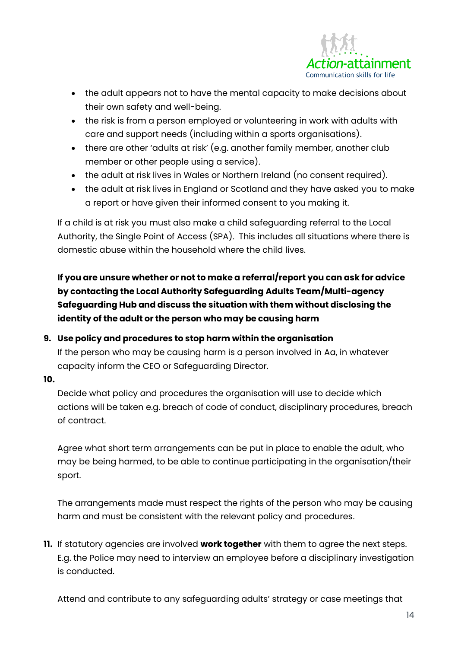

- the adult appears not to have the mental capacity to make decisions about their own safety and well-being.
- the risk is from a person employed or volunteering in work with adults with care and support needs (including within a sports organisations).
- there are other 'adults at risk' (e.g. another family member, another club member or other people using a service).
- the adult at risk lives in Wales or Northern Ireland (no consent required).
- the adult at risk lives in England or Scotland and they have asked you to make a report or have given their informed consent to you making it.

If a child is at risk you must also make a child safeguarding referral to the Local Authority, the Single Point of Access (SPA). This includes all situations where there is domestic abuse within the household where the child lives.

**If you are unsure whether or not to make a referral/report you can ask for advice by contacting the Local Authority Safeguarding Adults Team/Multi-agency Safeguarding Hub and discuss the situation with them without disclosing the identity of the adult or the person who may be causing harm** 

#### **9. Use policy and procedures to stop harm within the organisation**

If the person who may be causing harm is a person involved in Aa, in whatever capacity inform the CEO or Safeguarding Director.

**10.**

Decide what policy and procedures the organisation will use to decide which actions will be taken e.g. breach of code of conduct, disciplinary procedures, breach of contract.

Agree what short term arrangements can be put in place to enable the adult, who may be being harmed, to be able to continue participating in the organisation/their sport.

The arrangements made must respect the rights of the person who may be causing harm and must be consistent with the relevant policy and procedures.

**11.** If statutory agencies are involved **work together** with them to agree the next steps. E.g. the Police may need to interview an employee before a disciplinary investigation is conducted.

Attend and contribute to any safeguarding adults' strategy or case meetings that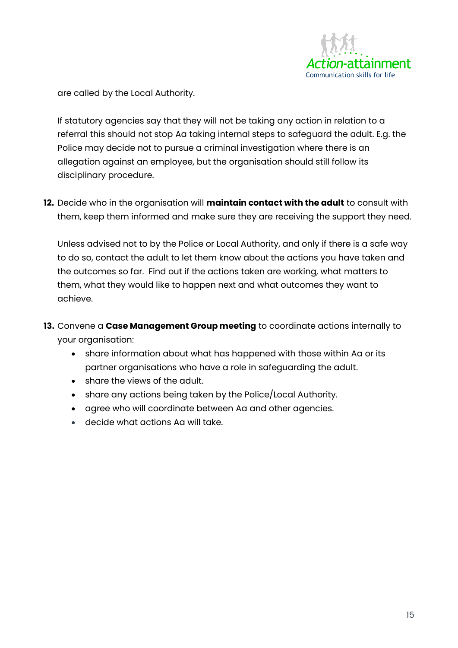

are called by the Local Authority.

If statutory agencies say that they will not be taking any action in relation to a referral this should not stop Aa taking internal steps to safeguard the adult. E.g. the Police may decide not to pursue a criminal investigation where there is an allegation against an employee, but the organisation should still follow its disciplinary procedure.

**12.** Decide who in the organisation will **maintain contact with the adult** to consult with them, keep them informed and make sure they are receiving the support they need.

Unless advised not to by the Police or Local Authority, and only if there is a safe way to do so, contact the adult to let them know about the actions you have taken and the outcomes so far. Find out if the actions taken are working, what matters to them, what they would like to happen next and what outcomes they want to achieve.

- **13.** Convene a **Case Management Group meeting** to coordinate actions internally to your organisation:
	- share information about what has happened with those within Aa or its partner organisations who have a role in safeguarding the adult.
	- share the views of the adult.
	- share any actions being taken by the Police/Local Authority.
	- agree who will coordinate between Aa and other agencies.
	- decide what actions Aa will take.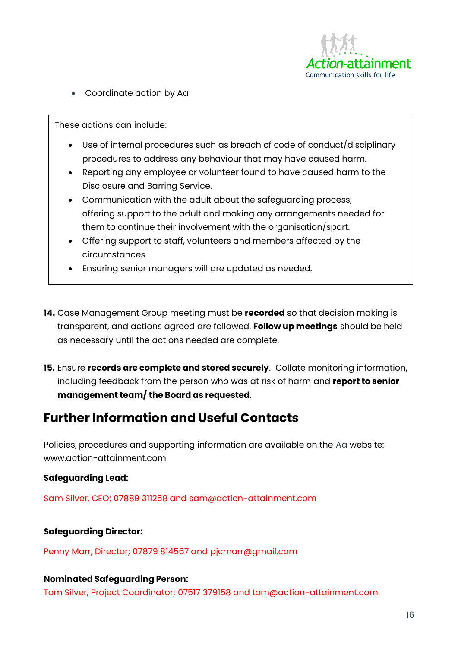

• Coordinate action by Aa

These actions can include:

- Use of internal procedures such as breach of code of conduct/disciplinary procedures to address any behaviour that may have caused harm.
- Reporting any employee or volunteer found to have caused harm to the Disclosure and Barring Service.
- Communication with the adult about the safeguarding process, offering support to the adult and making any arrangements needed for them to continue their involvement with the organisation/sport.
- Offering support to staff, volunteers and members affected by the circumstances.
- Ensuring senior managers will are updated as needed.
- **14.** Case Management Group meeting must be **recorded** so that decision making is transparent, and actions agreed are followed. **Follow up meetings** should be held as necessary until the actions needed are complete.
- **15.** Ensure **records are complete and stored securely**. Collate monitoring information, including feedback from the person who was at risk of harm and **report to senior management team/ the Board as requested**.

### <span id="page-18-0"></span>**Further Information and Useful Contacts**

Policies, procedures and supporting information are available on the Aa website: www.action-attainment.com

#### **Safeguarding Lead:**

Sam Silver, CEO; 07889 311258 and sam@action-attainment.com

#### **Safeguarding Director:**

Penny Marr, Director; 07879 814567 and pjcmarr@gmail.com

#### **Nominated Safeguarding Person:**

Tom Silver, Project Coordinator; 07517 379158 and tom@action-attainment.com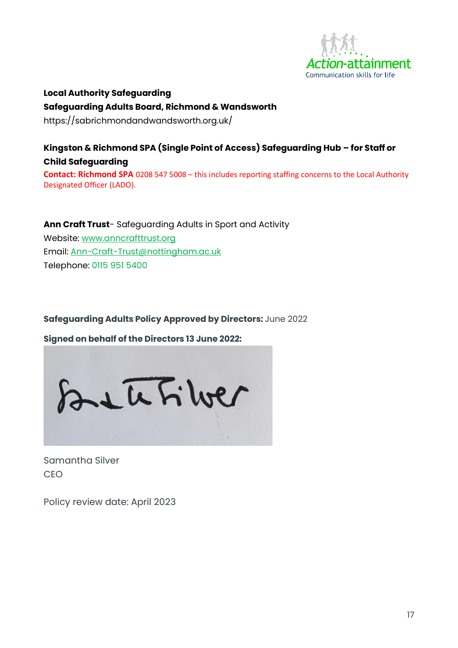

**Local Authority Safeguarding Safeguarding Adults Board, Richmond & Wandsworth** https://sabrichmondandwandsworth.org.uk/

#### **Kingston & Richmond SPA (Single Point of Access) Safeguarding Hub – for Staff or Child Safeguarding Contact: Richmond SPA** 0208 547 5008 – this includes reporting staffing concerns to the Local Authority Designated Officer (LADO).

**Ann Craft Trust**- Safeguarding Adults in Sport and Activity Website: [www.anncrafttrust.org](http://www.anncrafttrust.org/) Email: [Ann-Craft-Trust@nottingham.ac.uk](mailto:Ann-Craft-Trust@nottingham.ac.uk) Telephone: 0115 951 5400

#### **Safeguarding Adults Policy Approved by Directors:** June 2022

**Signed on behalf of the Directors 13 June 2022:** 



Samantha Silver CEO

Policy review date: April 2023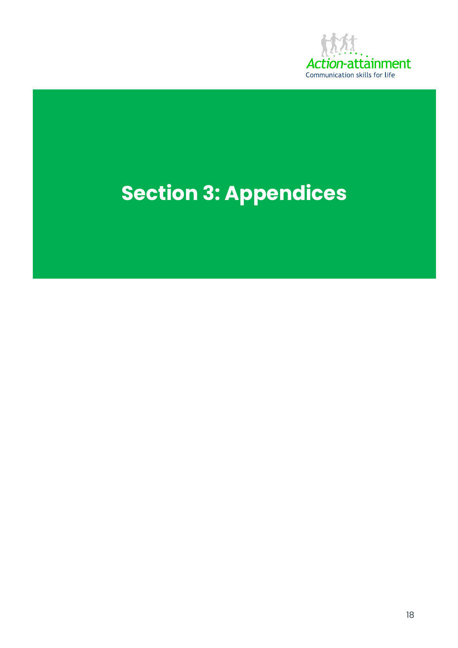

# **Section 3: Appendices**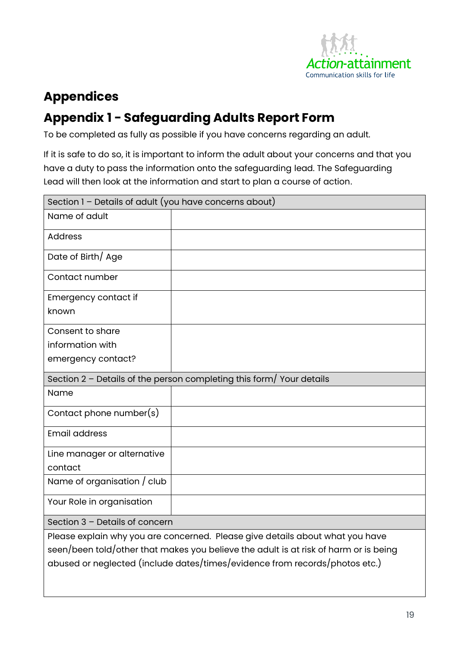

## <span id="page-21-0"></span>**Appendices**

## <span id="page-21-1"></span>**Appendix 1 - Safeguarding Adults Report Form**

To be completed as fully as possible if you have concerns regarding an adult.

If it is safe to do so, it is important to inform the adult about your concerns and that you have a duty to pass the information onto the safeguarding lead. The Safeguarding Lead will then look at the information and start to plan a course of action.

| Section $1$ – Details of adult (you have concerns about)                                                                                                              |  |  |
|-----------------------------------------------------------------------------------------------------------------------------------------------------------------------|--|--|
| Name of adult                                                                                                                                                         |  |  |
| <b>Address</b>                                                                                                                                                        |  |  |
| Date of Birth/ Age                                                                                                                                                    |  |  |
| Contact number                                                                                                                                                        |  |  |
| Emergency contact if                                                                                                                                                  |  |  |
| known                                                                                                                                                                 |  |  |
| Consent to share                                                                                                                                                      |  |  |
| information with                                                                                                                                                      |  |  |
| emergency contact?                                                                                                                                                    |  |  |
| Section $2$ – Details of the person completing this form/Your details                                                                                                 |  |  |
| Name                                                                                                                                                                  |  |  |
| Contact phone number(s)                                                                                                                                               |  |  |
| <b>Email address</b>                                                                                                                                                  |  |  |
| Line manager or alternative                                                                                                                                           |  |  |
| contact                                                                                                                                                               |  |  |
| Name of organisation / club                                                                                                                                           |  |  |
| Your Role in organisation                                                                                                                                             |  |  |
| Section 3 - Details of concern                                                                                                                                        |  |  |
| Please explain why you are concerned. Please give details about what you have<br>seen/been told/other that makes you believe the adult is at risk of harm or is being |  |  |

abused or neglected (include dates/times/evidence from records/photos etc.)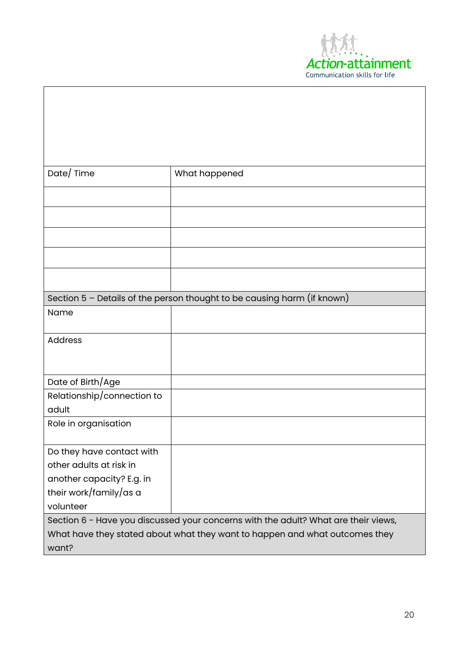

| Date/Time                                                                          | What happened                                                             |  |  |
|------------------------------------------------------------------------------------|---------------------------------------------------------------------------|--|--|
|                                                                                    |                                                                           |  |  |
|                                                                                    |                                                                           |  |  |
|                                                                                    |                                                                           |  |  |
|                                                                                    |                                                                           |  |  |
|                                                                                    |                                                                           |  |  |
|                                                                                    | Section $5$ – Details of the person thought to be causing harm (if known) |  |  |
| Name                                                                               |                                                                           |  |  |
| <b>Address</b>                                                                     |                                                                           |  |  |
|                                                                                    |                                                                           |  |  |
| Date of Birth/Age                                                                  |                                                                           |  |  |
| Relationship/connection to                                                         |                                                                           |  |  |
| adult                                                                              |                                                                           |  |  |
| Role in organisation                                                               |                                                                           |  |  |
| Do they have contact with                                                          |                                                                           |  |  |
| other adults at risk in                                                            |                                                                           |  |  |
| another capacity? E.g. in                                                          |                                                                           |  |  |
| their work/family/as a                                                             |                                                                           |  |  |
| volunteer                                                                          |                                                                           |  |  |
| Section 6 - Have you discussed your concerns with the adult? What are their views, |                                                                           |  |  |
| What have they stated about what they want to happen and what outcomes they        |                                                                           |  |  |
| want?                                                                              |                                                                           |  |  |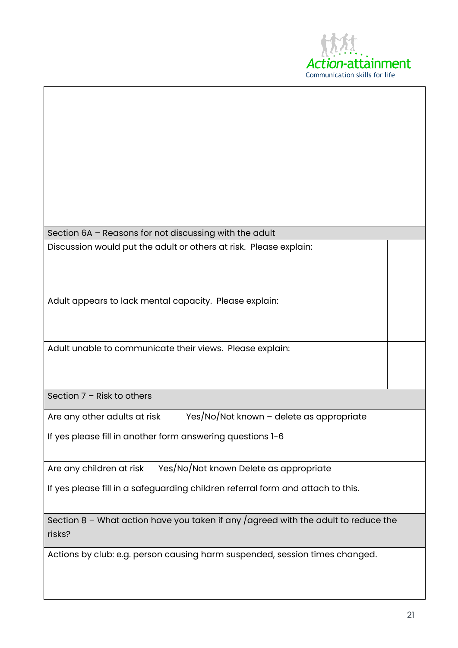

Section 6A – Reasons for not discussing with the adult Discussion would put the adult or others at risk. Please explain:

Adult appears to lack mental capacity. Please explain:

Adult unable to communicate their views. Please explain:

Section 7 – Risk to others

Are any other adults at risk Yes/No/Not known - delete as appropriate

If yes please fill in another form answering questions 1-6

Are any children at risk Yes/No/Not known Delete as appropriate

If yes please fill in a safeguarding children referral form and attach to this.

Section  $8$  – What action have you taken if any /agreed with the adult to reduce the risks?

Actions by club: e.g. person causing harm suspended, session times changed.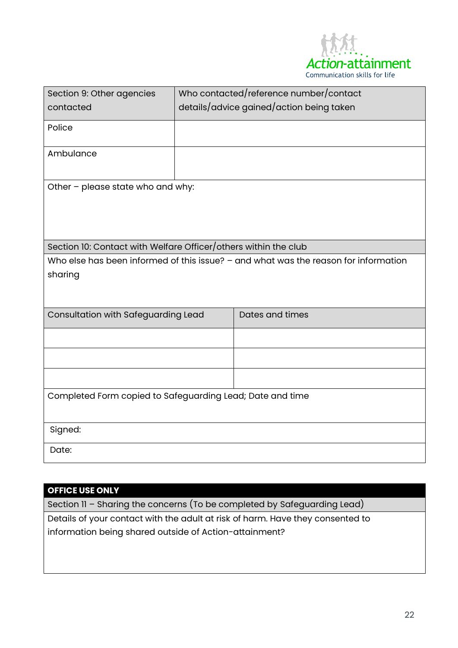

| Section 9: Other agencies                                                           |  | Who contacted/reference number/contact   |  |  |
|-------------------------------------------------------------------------------------|--|------------------------------------------|--|--|
| contacted                                                                           |  | details/advice gained/action being taken |  |  |
| Police                                                                              |  |                                          |  |  |
| Ambulance                                                                           |  |                                          |  |  |
| Other - please state who and why:                                                   |  |                                          |  |  |
| Section 10: Contact with Welfare Officer/others within the club                     |  |                                          |  |  |
| Who else has been informed of this issue? - and what was the reason for information |  |                                          |  |  |
| sharing                                                                             |  |                                          |  |  |
| Consultation with Safeguarding Lead                                                 |  | Dates and times                          |  |  |
|                                                                                     |  |                                          |  |  |
|                                                                                     |  |                                          |  |  |
|                                                                                     |  |                                          |  |  |
| Completed Form copied to Safeguarding Lead; Date and time                           |  |                                          |  |  |
| Signed:                                                                             |  |                                          |  |  |
| Date:                                                                               |  |                                          |  |  |

#### **OFFICE USE ONLY**

Section 11 – Sharing the concerns (To be completed by Safeguarding Lead) Details of your contact with the adult at risk of harm. Have they consented to information being shared outside of Action-attainment?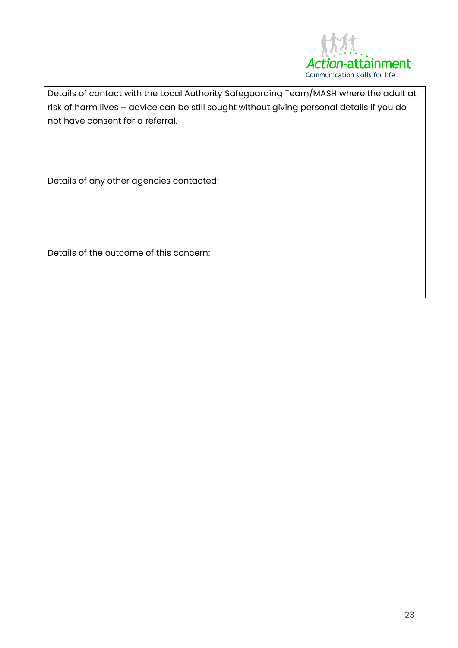

Details of contact with the Local Authority Safeguarding Team/MASH where the adult at risk of harm lives – advice can be still sought without giving personal details if you do not have consent for a referral.

Details of any other agencies contacted:

Details of the outcome of this concern: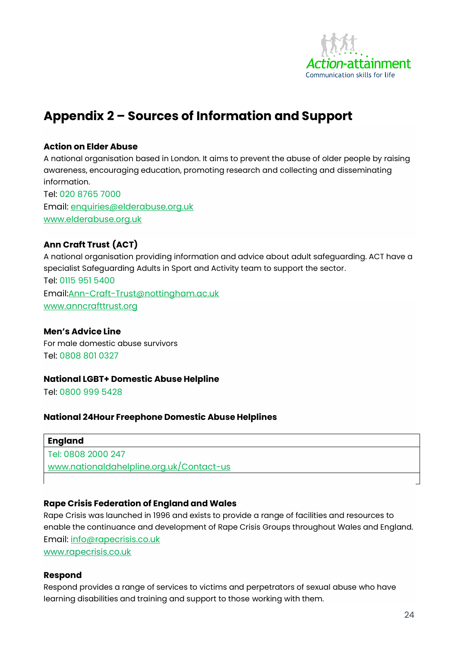

## <span id="page-26-0"></span>**Appendix 2 – Sources of Information and Support**

#### **Action on Elder Abuse**

A national organisation based in London. It aims to prevent the abuse of older people by raising awareness, encouraging education, promoting research and collecting and disseminating information.

[Tel: 020 8765 7000](Tel:020%208765%207000) Email: [enquiries@elderabuse.org.uk](mailto:enquiries@elderabuse.org.uk) [www.elderabuse.org.uk](http://www.elderabuse.org.uk/)

#### **Ann Craft Trust (ACT)**

A national organisation providing information and advice about adult safeguarding. ACT have a specialist Safeguarding Adults in Sport and Activity team to support the sector. Tel: 0115 951 5400 Email[:Ann-Craft-Trust@nottingham.ac.uk](mailto:Ann-Craft-Trust@nottingham.ac.uk) [www.anncrafttrust.org](http://www.anncrafttrust.org/)

#### **Men's Advice Line**

For male domestic abuse survivors Tel: 0808 801 0327

#### **National LGBT+ Domestic Abuse Helpline**

Tel: 0800 999 5428

#### **National 24Hour Freephone Domestic Abuse Helplines**

#### **England**

Tel: 0808 2000 247 [www.nationaldahelpline.org.uk/Contact-us](http://www.nationaldahelpline.org.uk/Contact-us)

#### **Rape Crisis Federation of England and Wales**

Rape Crisis was launched in 1996 and exists to provide a range of facilities and resources to enable the continuance and development of Rape Crisis Groups throughout Wales and England. Email: [info@rapecrisis.co.uk](mailto:info@rapecrisis.co.uk)

[www.rapecrisis.co.uk](http://www.rapecrisis.co.uk/)

#### **Respond**

Respond provides a range of services to victims and perpetrators of sexual abuse who have learning disabilities and training and support to those working with them.